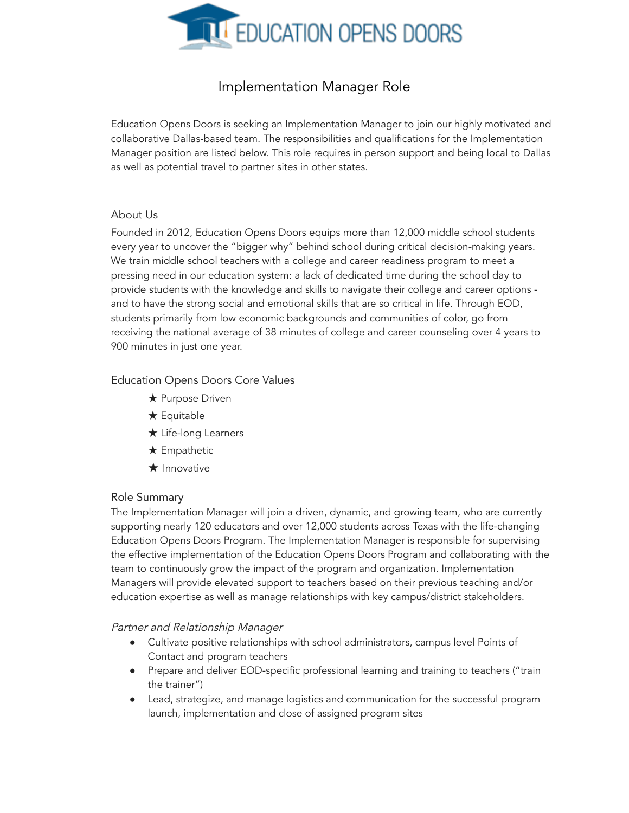

# Implementation Manager Role

Education Opens Doors is seeking an Implementation Manager to join our highly motivated and collaborative Dallas-based team. The responsibilities and qualifications for the Implementation Manager position are listed below. This role requires in person support and being local to Dallas as well as potential travel to partner sites in other states.

## About Us

Founded in 2012, Education Opens Doors equips more than 12,000 middle school students every year to uncover the "bigger why" behind school during critical decision-making years. We train middle school teachers with a college and career readiness program to meet a pressing need in our education system: a lack of dedicated time during the school day to provide students with the knowledge and skills to navigate their college and career options and to have the strong social and emotional skills that are so critical in life. Through EOD, students primarily from low economic backgrounds and communities of color, go from receiving the national average of 38 minutes of college and career counseling over 4 years to 900 minutes in just one year.

## Education Opens Doors Core Values

- **★ Purpose Driven**
- ★ Equitable
- ★ Life-long Learners
- ★ Empathetic
- $\bigstar$  Innovative

#### Role Summary

The Implementation Manager will join a driven, dynamic, and growing team, who are currently supporting nearly 120 educators and over 12,000 students across Texas with the life-changing Education Opens Doors Program. The Implementation Manager is responsible for supervising the effective implementation of the Education Opens Doors Program and collaborating with the team to continuously grow the impact of the program and organization. Implementation Managers will provide elevated support to teachers based on their previous teaching and/or education expertise as well as manage relationships with key campus/district stakeholders.

#### Partner and Relationship Manager

- Cultivate positive relationships with school administrators, campus level Points of Contact and program teachers
- Prepare and deliver EOD-specific professional learning and training to teachers ("train the trainer")
- Lead, strategize, and manage logistics and communication for the successful program launch, implementation and close of assigned program sites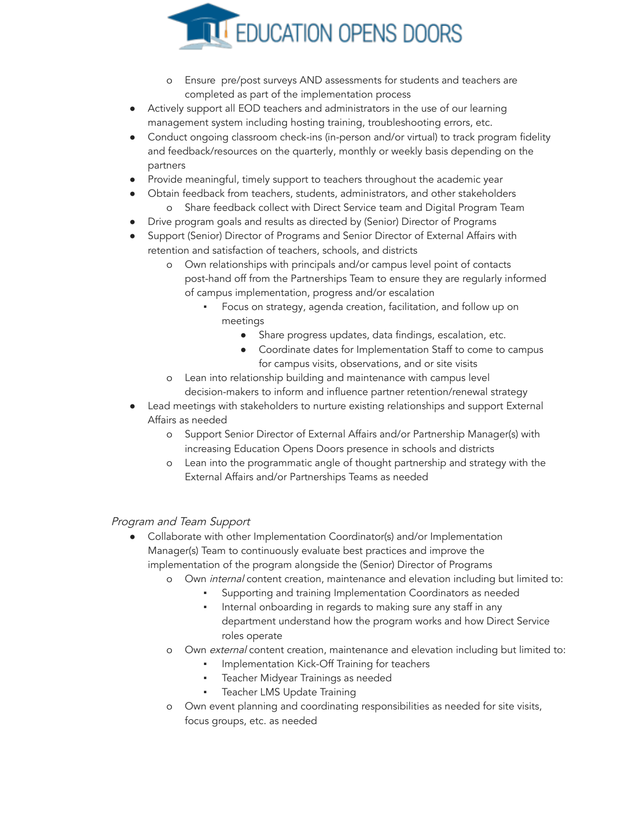

- Ensure pre/post surveys AND assessments for students and teachers are completed as part of the implementation process
- Actively support all EOD teachers and administrators in the use of our learning management system including hosting training, troubleshooting errors, etc.
- Conduct ongoing classroom check-ins (in-person and/or virtual) to track program fidelity and feedback/resources on the quarterly, monthly or weekly basis depending on the partners
- Provide meaningful, timely support to teachers throughout the academic year
	- Obtain feedback from teachers, students, administrators, and other stakeholders o Share feedback collect with Direct Service team and Digital Program Team
	- Drive program goals and results as directed by (Senior) Director of Programs
- Support (Senior) Director of Programs and Senior Director of External Affairs with retention and satisfaction of teachers, schools, and districts
	- o Own relationships with principals and/or campus level point of contacts post-hand off from the Partnerships Team to ensure they are regularly informed of campus implementation, progress and/or escalation
		- Focus on strategy, agenda creation, facilitation, and follow up on meetings
			- Share progress updates, data findings, escalation, etc.
			- Coordinate dates for Implementation Staff to come to campus for campus visits, observations, and or site visits
	- o Lean into relationship building and maintenance with campus level decision-makers to inform and influence partner retention/renewal strategy
- Lead meetings with stakeholders to nurture existing relationships and support External Affairs as needed
	- o Support Senior Director of External Affairs and/or Partnership Manager(s) with increasing Education Opens Doors presence in schools and districts
	- o Lean into the programmatic angle of thought partnership and strategy with the External Affairs and/or Partnerships Teams as needed

# Program and Team Support

- Collaborate with other Implementation Coordinator(s) and/or Implementation Manager(s) Team to continuously evaluate best practices and improve the implementation of the program alongside the (Senior) Director of Programs
	- o Own internal content creation, maintenance and elevation including but limited to:
		- Supporting and training Implementation Coordinators as needed
			- Internal onboarding in regards to making sure any staff in any department understand how the program works and how Direct Service roles operate
	- o Own external content creation, maintenance and elevation including but limited to:
		- Implementation Kick-Off Training for teachers
		- **·** Teacher Midyear Trainings as needed
		- Teacher LMS Update Training
	- o Own event planning and coordinating responsibilities as needed for site visits, focus groups, etc. as needed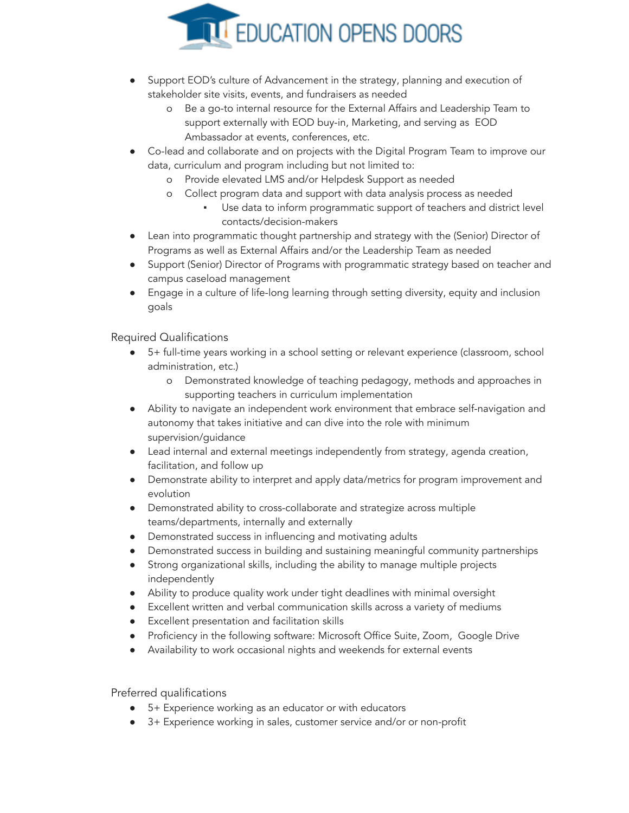

- Support EOD's culture of Advancement in the strategy, planning and execution of stakeholder site visits, events, and fundraisers as needed
	- o Be a go-to internal resource for the External Affairs and Leadership Team to support externally with EOD buy-in, Marketing, and serving as EOD Ambassador at events, conferences, etc.
- Co-lead and collaborate and on projects with the Digital Program Team to improve our data, curriculum and program including but not limited to:
	- o Provide elevated LMS and/or Helpdesk Support as needed
	- o Collect program data and support with data analysis process as needed
		- Use data to inform programmatic support of teachers and district level contacts/decision-makers
- Lean into programmatic thought partnership and strategy with the (Senior) Director of Programs as well as External Affairs and/or the Leadership Team as needed
- Support (Senior) Director of Programs with programmatic strategy based on teacher and campus caseload management
- Engage in a culture of life-long learning through setting diversity, equity and inclusion goals

# Required Qualifications

- 5+ full-time years working in a school setting or relevant experience (classroom, school administration, etc.)
	- o Demonstrated knowledge of teaching pedagogy, methods and approaches in supporting teachers in curriculum implementation
- Ability to navigate an independent work environment that embrace self-navigation and autonomy that takes initiative and can dive into the role with minimum supervision/guidance
- Lead internal and external meetings independently from strategy, agenda creation, facilitation, and follow up
- Demonstrate ability to interpret and apply data/metrics for program improvement and evolution
- Demonstrated ability to cross-collaborate and strategize across multiple teams/departments, internally and externally
- Demonstrated success in influencing and motivating adults
- Demonstrated success in building and sustaining meaningful community partnerships
- Strong organizational skills, including the ability to manage multiple projects independently
- Ability to produce quality work under tight deadlines with minimal oversight
- Excellent written and verbal communication skills across a variety of mediums
- Excellent presentation and facilitation skills
- Proficiency in the following software: Microsoft Office Suite, Zoom, Google Drive
- Availability to work occasional nights and weekends for external events

# Preferred qualifications

- 5+ Experience working as an educator or with educators
- 3+ Experience working in sales, customer service and/or or non-profit